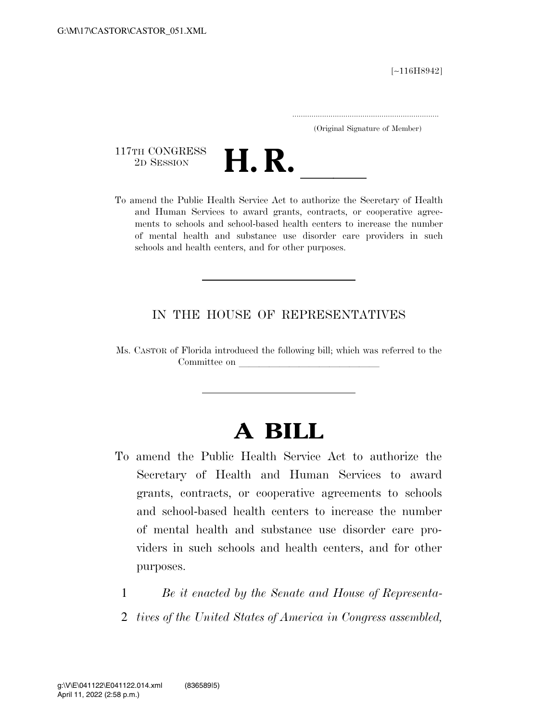[∼116H8942]

.....................................................................

(Original Signature of Member)

117TH CONGRESS<br>2D SESSION



117TH CONGRESS<br>
2D SESSION<br>
To amend the Public Health Service Act to authorize the Secretary of Health and Human Services to award grants, contracts, or cooperative agreements to schools and school-based health centers to increase the number of mental health and substance use disorder care providers in such schools and health centers, and for other purposes.

## IN THE HOUSE OF REPRESENTATIVES

Ms. CASTOR of Florida introduced the following bill; which was referred to the Committee on

## **A BILL**

- To amend the Public Health Service Act to authorize the Secretary of Health and Human Services to award grants, contracts, or cooperative agreements to schools and school-based health centers to increase the number of mental health and substance use disorder care providers in such schools and health centers, and for other purposes.
	- 1 *Be it enacted by the Senate and House of Representa-*
	- 2 *tives of the United States of America in Congress assembled,*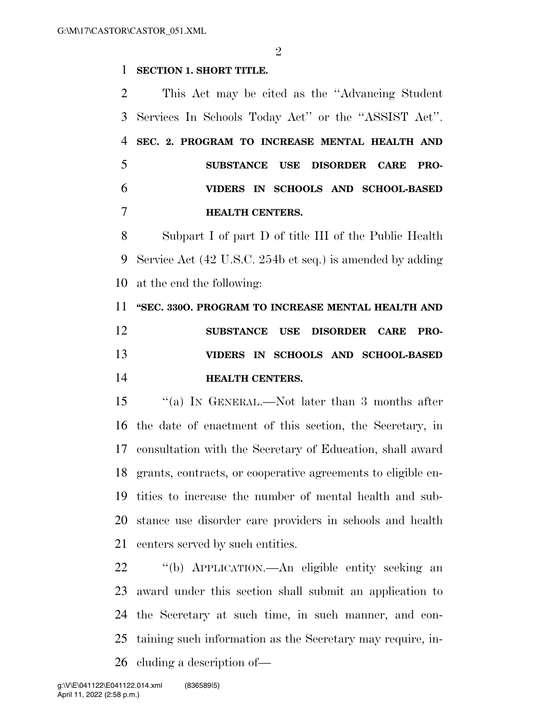$\mathfrak{D}$ 

## **SECTION 1. SHORT TITLE.**

 This Act may be cited as the ''Advancing Student Services In Schools Today Act'' or the ''ASSIST Act''. **SEC. 2. PROGRAM TO INCREASE MENTAL HEALTH AND SUBSTANCE USE DISORDER CARE PRO- VIDERS IN SCHOOLS AND SCHOOL-BASED HEALTH CENTERS.** 

 Subpart I of part D of title III of the Public Health Service Act (42 U.S.C. 254b et seq.) is amended by adding at the end the following:

**''SEC. 330O. PROGRAM TO INCREASE MENTAL HEALTH AND** 

 **SUBSTANCE USE DISORDER CARE PRO- VIDERS IN SCHOOLS AND SCHOOL-BASED HEALTH CENTERS.** 

 ''(a) IN GENERAL.—Not later than 3 months after the date of enactment of this section, the Secretary, in consultation with the Secretary of Education, shall award grants, contracts, or cooperative agreements to eligible en- tities to increase the number of mental health and sub- stance use disorder care providers in schools and health centers served by such entities.

 ''(b) APPLICATION.—An eligible entity seeking an award under this section shall submit an application to the Secretary at such time, in such manner, and con- taining such information as the Secretary may require, in-cluding a description of—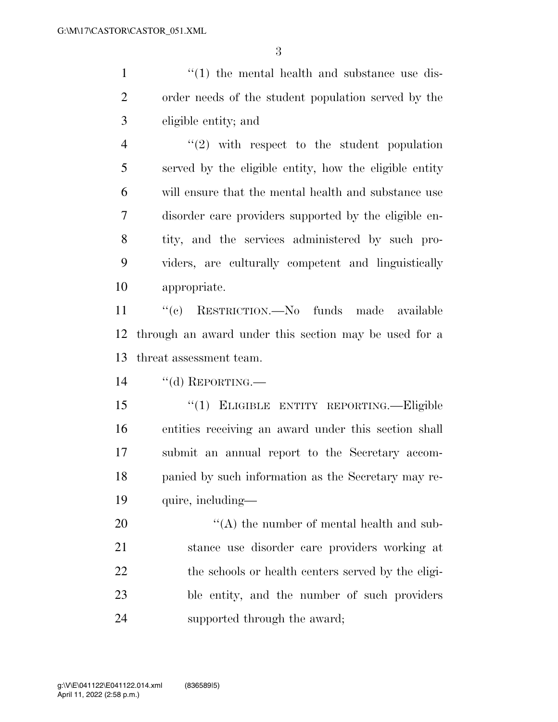1 ''(1) the mental health and substance use dis- order needs of the student population served by the eligible entity; and

 $\frac{4}{2}$  ''(2) with respect to the student population served by the eligible entity, how the eligible entity will ensure that the mental health and substance use disorder care providers supported by the eligible en- tity, and the services administered by such pro- viders, are culturally competent and linguistically appropriate.

 ''(c) RESTRICTION.—No funds made available through an award under this section may be used for a threat assessment team.

''(d) REPORTING.—

 ''(1) ELIGIBLE ENTITY REPORTING.—Eligible entities receiving an award under this section shall submit an annual report to the Secretary accom- panied by such information as the Secretary may re-quire, including—

20 "'(A) the number of mental health and sub- stance use disorder care providers working at 22 the schools or health centers served by the eligi- ble entity, and the number of such providers supported through the award;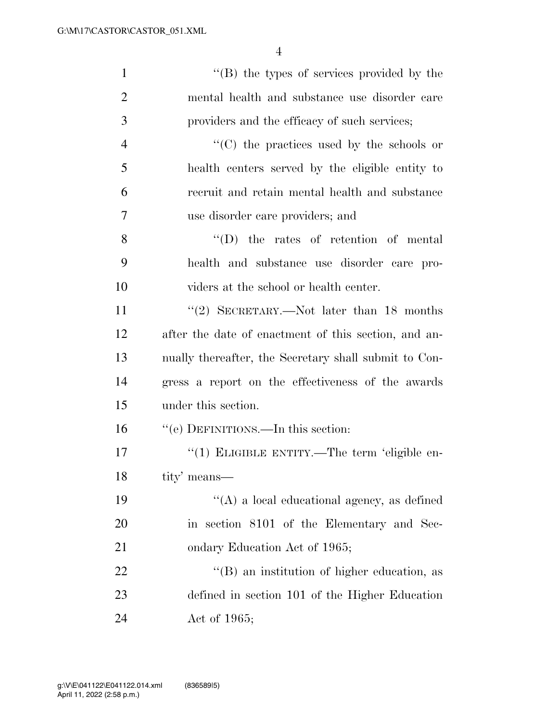| $\mathbf{1}$   | "(B) the types of services provided by the            |
|----------------|-------------------------------------------------------|
| $\overline{2}$ | mental health and substance use disorder care         |
| 3              | providers and the efficacy of such services;          |
| 4              | $\lq\lq$ (C) the practices used by the schools or     |
| 5              | health centers served by the eligible entity to       |
| 6              | recruit and retain mental health and substance        |
| 7              | use disorder care providers; and                      |
| 8              | $\lq\lq$ (D) the rates of retention of mental         |
| 9              | health and substance use disorder care pro-           |
| 10             | viders at the school or health center.                |
| 11             | "(2) SECRETARY.—Not later than 18 months              |
| 12             | after the date of enactment of this section, and an-  |
| 13             | nually thereafter, the Secretary shall submit to Con- |
| 14             | gress a report on the effectiveness of the awards     |
| 15             | under this section.                                   |
| 16             | "(e) DEFINITIONS.—In this section:                    |
| 17             | "(1) ELIGIBLE ENTITY.—The term 'eligible en-          |
| 18             | tity' means—                                          |
| 19             | $\lq\lq$ a local educational agency, as defined       |
| 20             | in section 8101 of the Elementary and Sec-            |
| 21             | ondary Education Act of 1965;                         |
| 22             | $\lq\lq (B)$ an institution of higher education, as   |
| 23             | defined in section 101 of the Higher Education        |
| 24             | Act of 1965;                                          |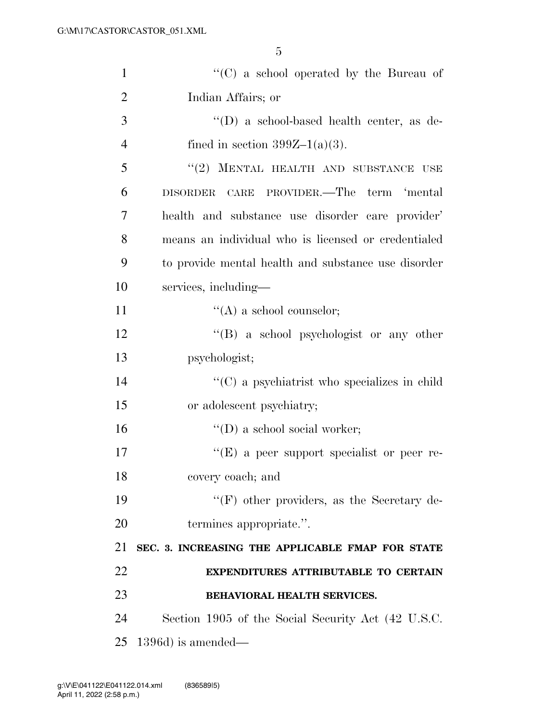| $\mathbf{1}$   | "(C) a school operated by the Bureau of              |
|----------------|------------------------------------------------------|
| $\overline{2}$ | Indian Affairs; or                                   |
| 3              | $\lq\lq$ a school-based health center, as de-        |
| $\overline{4}$ | fined in section $399Z-1(a)(3)$ .                    |
| 5              | "(2) MENTAL HEALTH AND SUBSTANCE USE                 |
| 6              | DISORDER CARE PROVIDER.—The term 'mental             |
| 7              | health and substance use disorder care provider'     |
| 8              | means an individual who is licensed or credentialed  |
| 9              | to provide mental health and substance use disorder  |
| 10             | services, including—                                 |
| 11             | $\lq\lq$ (A) a school counselor;                     |
| 12             | "(B) a school psychologist or any other              |
| 13             | psychologist;                                        |
| 14             | $\lq\lq$ (C) a psychiatrist who specializes in child |
| 15             | or adolescent psychiatry;                            |
| 16             | $\lq\lq$ (D) a school social worker;                 |
| 17             | $\lq\lq(E)$ a peer support specialist or peer re-    |
| 18             | covery coach; and                                    |
| 19             | $\lq\lq(F)$ other providers, as the Secretary de-    |
| 20             | termines appropriate.".                              |
| 21             | SEC. 3. INCREASING THE APPLICABLE FMAP FOR STATE     |
| 22             | <b>EXPENDITURES ATTRIBUTABLE TO CERTAIN</b>          |
| 23             | <b>BEHAVIORAL HEALTH SERVICES.</b>                   |
| 24             | Section 1905 of the Social Security Act (42 U.S.C.   |
| 25             | $1396d$ ) is amended—                                |